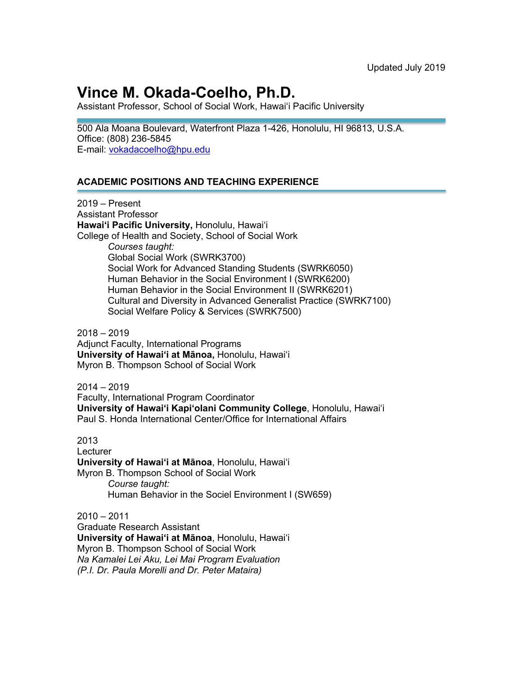# **Vince M. Okada-Coelho, Ph.D.**

Assistant Professor, School of Social Work, Hawaiʻi Pacific University

500 Ala Moana Boulevard, Waterfront Plaza 1-426, Honolulu, HI 96813, U.S.A. Office: (808) 236-5845 E-mail: vokadacoelho@hpu.edu

### **ACADEMIC POSITIONS AND TEACHING EXPERIENCE**

2019 – Present Assistant Professor **Hawaiʻi Pacific University,** Honolulu, Hawaiʻi College of Health and Society, School of Social Work *Courses taught:* Global Social Work (SWRK3700) Social Work for Advanced Standing Students (SWRK6050) Human Behavior in the Social Environment I (SWRK6200) Human Behavior in the Social Environment II (SWRK6201) Cultural and Diversity in Advanced Generalist Practice (SWRK7100) Social Welfare Policy & Services (SWRK7500)

2018 – 2019 Adjunct Faculty, International Programs **University of Hawaiʻi at Mānoa,** Honolulu, Hawaiʻi Myron B. Thompson School of Social Work

 $2014 - 2019$ Faculty, International Program Coordinator **University of Hawaiʻi Kapiʻolani Community College**, Honolulu, Hawaiʻi Paul S. Honda International Center/Office for International Affairs

2013 **Lecturer University of Hawaiʻi at Mānoa**, Honolulu, Hawaiʻi Myron B. Thompson School of Social Work *Course taught:* Human Behavior in the Sociel Environment I (SW659)

 $2010 - 2011$ Graduate Research Assistant **University of Hawaiʻi at Mānoa**, Honolulu, Hawaiʻi Myron B. Thompson School of Social Work *Na Kamalei Lei Aku, Lei Mai Program Evaluation (P.I. Dr. Paula Morelli and Dr. Peter Mataira)*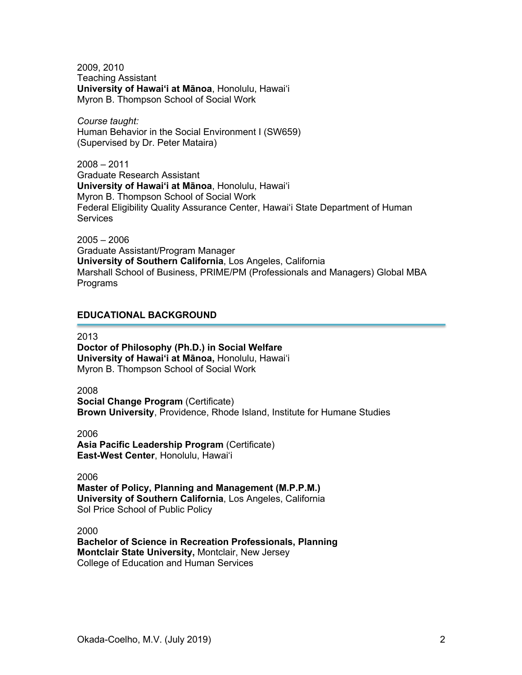2009, 2010 Teaching Assistant **University of Hawaiʻi at Mānoa**, Honolulu, Hawaiʻi Myron B. Thompson School of Social Work

*Course taught:* Human Behavior in the Social Environment I (SW659) (Supervised by Dr. Peter Mataira)

2008 – 2011 Graduate Research Assistant **University of Hawaiʻi at Mānoa**, Honolulu, Hawaiʻi Myron B. Thompson School of Social Work Federal Eligibility Quality Assurance Center, Hawaiʻi State Department of Human **Services** 

2005 – 2006 Graduate Assistant/Program Manager **University of Southern California**, Los Angeles, California Marshall School of Business, PRIME/PM (Professionals and Managers) Global MBA Programs

## **EDUCATIONAL BACKGROUND**

2013

**Doctor of Philosophy (Ph.D.) in Social Welfare University of Hawaiʻi at Mānoa,** Honolulu, Hawaiʻi Myron B. Thompson School of Social Work

2008

**Social Change Program** (Certificate) **Brown University**, Providence, Rhode Island, Institute for Humane Studies

2006

**Asia Pacific Leadership Program** (Certificate) **East-West Center**, Honolulu, Hawaiʻi

2006

**Master of Policy, Planning and Management (M.P.P.M.) University of Southern California**, Los Angeles, California Sol Price School of Public Policy

2000

**Bachelor of Science in Recreation Professionals, Planning Montclair State University,** Montclair, New Jersey College of Education and Human Services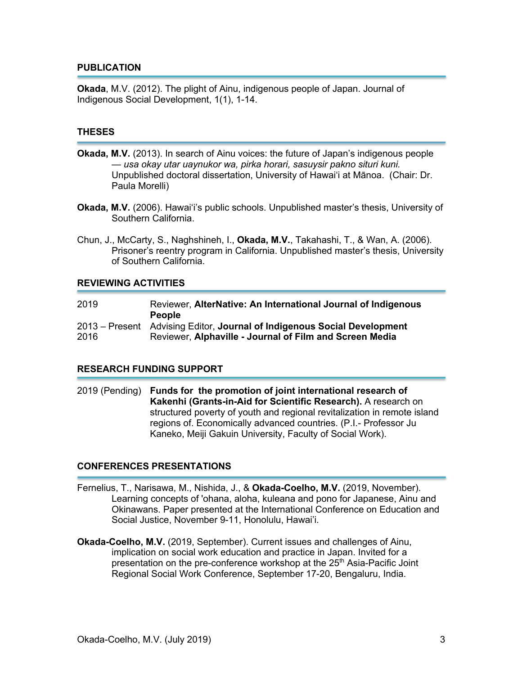#### **PUBLICATION**

**Okada**, M.V. (2012). The plight of Ainu, indigenous people of Japan. Journal of Indigenous Social Development, 1(1), 1-14.

#### **THESES**

- **Okada, M.V.** (2013). In search of Ainu voices: the future of Japan's indigenous people *— usa okay utar uaynukor wa, pirka horari, sasuysir pakno situri kuni.* Unpublished doctoral dissertation, University of Hawaiʻi at Mānoa. (Chair: Dr. Paula Morelli)
- **Okada, M.V.** (2006). Hawaiʻi's public schools. Unpublished master's thesis, University of Southern California.
- Chun, J., McCarty, S., Naghshineh, I., **Okada, M.V.**, Takahashi, T., & Wan, A. (2006). Prisoner's reentry program in California. Unpublished master's thesis, University of Southern California.

#### **REVIEWING ACTIVITIES**

| 2019 | Reviewer, AlterNative: An International Journal of Indigenous<br><b>People</b>                                                      |
|------|-------------------------------------------------------------------------------------------------------------------------------------|
| 2016 | 2013 – Present Advising Editor, Journal of Indigenous Social Development<br>Reviewer, Alphaville - Journal of Film and Screen Media |

#### **RESEARCH FUNDING SUPPORT**

2019 (Pending) **Funds for the promotion of joint international research of Kakenhi (Grants-in-Aid for Scientific Research).** A research on structured poverty of youth and regional revitalization in remote island regions of. Economically advanced countries. (P.I.- Professor Ju Kaneko, Meiji Gakuin University, Faculty of Social Work).

#### **CONFERENCES PRESENTATIONS**

- Fernelius, T., Narisawa, M., Nishida, J., & **Okada-Coelho, M.V.** (2019, November). Learning concepts of 'ohana, aloha, kuleana and pono for Japanese, Ainu and Okinawans. Paper presented at the International Conference on Education and Social Justice, November 9-11, Honolulu, Hawai'i.
- **Okada-Coelho, M.V.** (2019, September). Current issues and challenges of Ainu, implication on social work education and practice in Japan. Invited for a presentation on the pre-conference workshop at the 25<sup>th</sup> Asia-Pacific Joint Regional Social Work Conference, September 17-20, Bengaluru, India.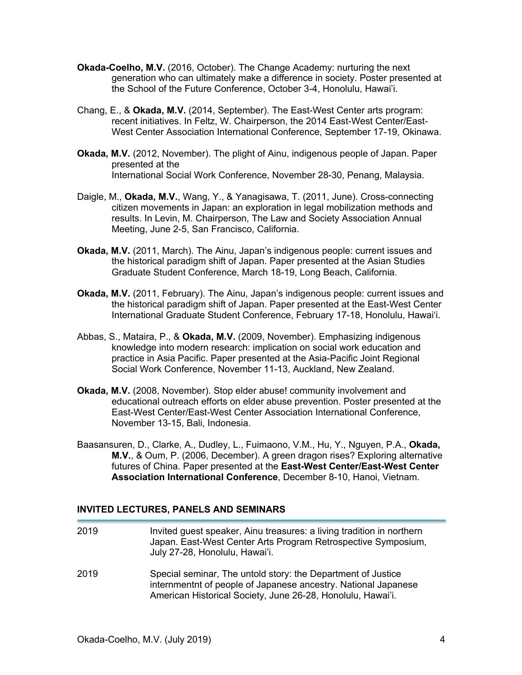- **Okada-Coelho, M.V.** (2016, October). The Change Academy: nurturing the next generation who can ultimately make a difference in society. Poster presented at the School of the Future Conference, October 3-4, Honolulu, Hawai'i.
- Chang, E., & **Okada, M.V.** (2014, September). The East-West Center arts program: recent initiatives. In Feltz, W. Chairperson, the 2014 East-West Center/East-West Center Association International Conference, September 17-19, Okinawa.
- **Okada, M.V.** (2012, November). The plight of Ainu, indigenous people of Japan. Paper presented at the International Social Work Conference, November 28-30, Penang, Malaysia.
- Daigle, M., **Okada, M.V.**, Wang, Y., & Yanagisawa, T. (2011, June). Cross-connecting citizen movements in Japan: an exploration in legal mobilization methods and results. In Levin, M. Chairperson, The Law and Society Association Annual Meeting, June 2-5, San Francisco, California.
- **Okada, M.V.** (2011, March). The Ainu, Japan's indigenous people: current issues and the historical paradigm shift of Japan. Paper presented at the Asian Studies Graduate Student Conference, March 18-19, Long Beach, California.
- **Okada, M.V.** (2011, February). The Ainu, Japan's indigenous people: current issues and the historical paradigm shift of Japan. Paper presented at the East-West Center International Graduate Student Conference, February 17-18, Honolulu, Hawaiʻi.
- Abbas, S., Mataira, P., & **Okada, M.V.** (2009, November). Emphasizing indigenous knowledge into modern research: implication on social work education and practice in Asia Pacific. Paper presented at the Asia-Pacific Joint Regional Social Work Conference, November 11-13, Auckland, New Zealand.
- **Okada, M.V.** (2008, November). Stop elder abuse! community involvement and educational outreach efforts on elder abuse prevention. Poster presented at the East-West Center/East-West Center Association International Conference, November 13-15, Bali, Indonesia.
- Baasansuren, D., Clarke, A., Dudley, L., Fuimaono, V.M., Hu, Y., Nguyen, P.A., **Okada, M.V.**, & Oum, P. (2006, December). A green dragon rises? Exploring alternative futures of China. Paper presented at the **East-West Center/East-West Center Association International Conference**, December 8-10, Hanoi, Vietnam.

#### **INVITED LECTURES, PANELS AND SEMINARS**

2019 Invited guest speaker, Ainu treasures: a living tradition in northern Japan. East-West Center Arts Program Retrospective Symposium, July 27-28, Honolulu, Hawai'i. 2019 Special seminar, The untold story: the Department of Justice internmentnt of people of Japanese ancestry. National Japanese American Historical Society, June 26-28, Honolulu, Hawai'i.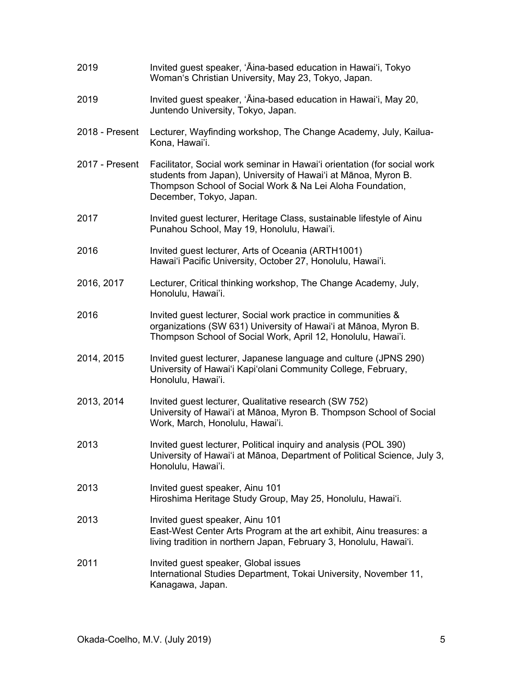| 2019           | Invited guest speaker, 'Aina-based education in Hawai'i, Tokyo<br>Woman's Christian University, May 23, Tokyo, Japan.                                                                                                              |
|----------------|------------------------------------------------------------------------------------------------------------------------------------------------------------------------------------------------------------------------------------|
| 2019           | Invited guest speaker, 'Aina-based education in Hawai'i, May 20,<br>Juntendo University, Tokyo, Japan.                                                                                                                             |
| 2018 - Present | Lecturer, Wayfinding workshop, The Change Academy, July, Kailua-<br>Kona, Hawai'i.                                                                                                                                                 |
| 2017 - Present | Facilitator, Social work seminar in Hawai'i orientation (for social work<br>students from Japan), University of Hawai'i at Mānoa, Myron B.<br>Thompson School of Social Work & Na Lei Aloha Foundation,<br>December, Tokyo, Japan. |
| 2017           | Invited guest lecturer, Heritage Class, sustainable lifestyle of Ainu<br>Punahou School, May 19, Honolulu, Hawai'i.                                                                                                                |
| 2016           | Invited guest lecturer, Arts of Oceania (ARTH1001)<br>Hawai'i Pacific University, October 27, Honolulu, Hawai'i.                                                                                                                   |
| 2016, 2017     | Lecturer, Critical thinking workshop, The Change Academy, July,<br>Honolulu, Hawai'i.                                                                                                                                              |
| 2016           | Invited guest lecturer, Social work practice in communities &<br>organizations (SW 631) University of Hawai'i at Mānoa, Myron B.<br>Thompson School of Social Work, April 12, Honolulu, Hawai'i.                                   |
| 2014, 2015     | Invited guest lecturer, Japanese language and culture (JPNS 290)<br>University of Hawai'i Kapi'olani Community College, February,<br>Honolulu, Hawai'i.                                                                            |
| 2013, 2014     | Invited guest lecturer, Qualitative research (SW 752)<br>University of Hawai'i at Mānoa, Myron B. Thompson School of Social<br>Work, March, Honolulu, Hawai'i.                                                                     |
| 2013           | Invited guest lecturer, Political inquiry and analysis (POL 390)<br>University of Hawai'i at Mānoa, Department of Political Science, July 3,<br>Honolulu, Hawai'i.                                                                 |
| 2013           | Invited guest speaker, Ainu 101<br>Hiroshima Heritage Study Group, May 25, Honolulu, Hawai'i.                                                                                                                                      |
| 2013           | Invited guest speaker, Ainu 101<br>East-West Center Arts Program at the art exhibit, Ainu treasures: a<br>living tradition in northern Japan, February 3, Honolulu, Hawai'i.                                                       |
| 2011           | Invited guest speaker, Global issues<br>International Studies Department, Tokai University, November 11,<br>Kanagawa, Japan.                                                                                                       |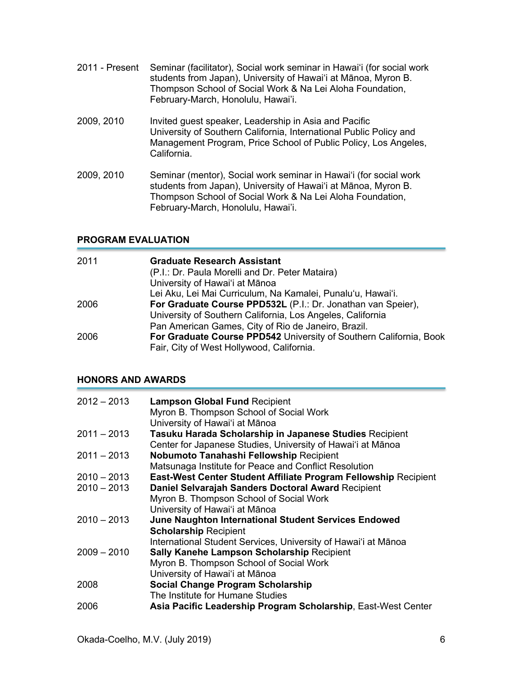- 2011 Present Seminar (facilitator), Social work seminar in Hawaiʻi (for social work students from Japan), University of Hawaiʻi at Mānoa, Myron B. Thompson School of Social Work & Na Lei Aloha Foundation, February-March, Honolulu, Hawai'i.
- 2009, 2010 Invited guest speaker, Leadership in Asia and Pacific University of Southern California, International Public Policy and Management Program, Price School of Public Policy, Los Angeles, California.
- 2009, 2010 Seminar (mentor), Social work seminar in Hawaiʻi (for social work students from Japan), University of Hawaiʻi at Mānoa, Myron B. Thompson School of Social Work & Na Lei Aloha Foundation, February-March, Honolulu, Hawai'i.

## **PROGRAM EVALUATION**

| 2011 | <b>Graduate Research Assistant</b>                                 |
|------|--------------------------------------------------------------------|
|      | (P.I.: Dr. Paula Morelli and Dr. Peter Mataira)                    |
|      | University of Hawai'i at Mānoa                                     |
|      | Lei Aku, Lei Mai Curriculum, Na Kamalei, Punalu'u, Hawai'i.        |
| 2006 | For Graduate Course PPD532L (P.I.: Dr. Jonathan van Speier),       |
|      | University of Southern California, Los Angeles, California         |
|      | Pan American Games, City of Rio de Janeiro, Brazil.                |
| 2006 | For Graduate Course PPD542 University of Southern California, Book |
|      | Fair, City of West Hollywood, California.                          |

### **HONORS AND AWARDS**

| $2012 - 2013$ | <b>Lampson Global Fund Recipient</b>                            |
|---------------|-----------------------------------------------------------------|
|               | Myron B. Thompson School of Social Work                         |
|               | University of Hawai'i at Mānoa                                  |
| $2011 - 2013$ | Tasuku Harada Scholarship in Japanese Studies Recipient         |
|               | Center for Japanese Studies, University of Hawai'i at Mānoa     |
| $2011 - 2013$ | <b>Nobumoto Tanahashi Fellowship Recipient</b>                  |
|               | Matsunaga Institute for Peace and Conflict Resolution           |
| $2010 - 2013$ | East-West Center Student Affiliate Program Fellowship Recipient |
| $2010 - 2013$ | Daniel Selvarajah Sanders Doctoral Award Recipient              |
|               | Myron B. Thompson School of Social Work                         |
|               | University of Hawai'i at Mānoa                                  |
| $2010 - 2013$ | June Naughton International Student Services Endowed            |
|               | <b>Scholarship Recipient</b>                                    |
|               | International Student Services, University of Hawai'i at Mānoa  |
| $2009 - 2010$ | <b>Sally Kanehe Lampson Scholarship Recipient</b>               |
|               | Myron B. Thompson School of Social Work                         |
|               | University of Hawai'i at Mānoa                                  |
| 2008          | <b>Social Change Program Scholarship</b>                        |
|               | The Institute for Humane Studies                                |
| 2006          | Asia Pacific Leadership Program Scholarship, East-West Center   |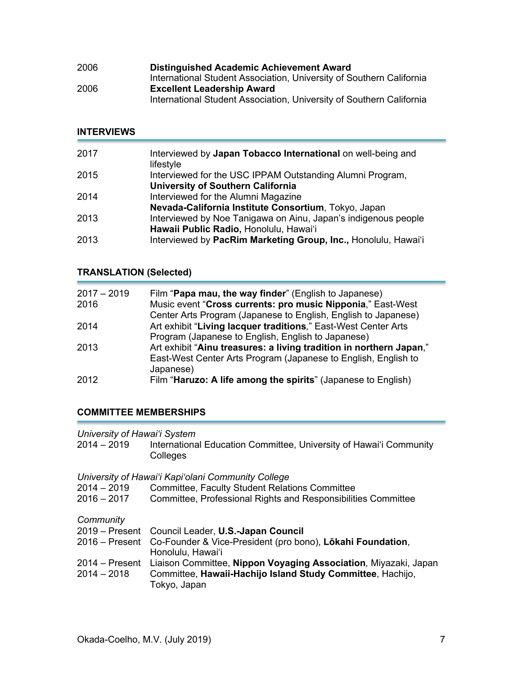| 2006 | <b>Distinguished Academic Achievement Award</b>                      |
|------|----------------------------------------------------------------------|
|      | International Student Association, University of Southern California |
| 2006 | <b>Excellent Leadership Award</b>                                    |
|      | International Student Association, University of Southern California |

## **INTERVIEWS**

| 2017 | Interviewed by Japan Tobacco International on well-being and<br>lifestyle |
|------|---------------------------------------------------------------------------|
| 2015 | Interviewed for the USC IPPAM Outstanding Alumni Program,                 |
|      | <b>University of Southern California</b>                                  |
| 2014 | Interviewed for the Alumni Magazine                                       |
|      | Nevada-California Institute Consortium, Tokyo, Japan                      |
| 2013 | Interviewed by Noe Tanigawa on Ainu, Japan's indigenous people            |
|      | Hawaii Public Radio, Honolulu, Hawai'i                                    |
| 2013 | Interviewed by PacRim Marketing Group, Inc., Honolulu, Hawai'i            |

## **TRANSLATION (Selected)**

| $2017 - 2019$ | Film " <b>Papa mau, the way finder</b> " (English to Japanese)      |
|---------------|---------------------------------------------------------------------|
| 2016          | Music event "Cross currents: pro music Nipponia," East-West         |
|               | Center Arts Program (Japanese to English, English to Japanese)      |
| 2014          | Art exhibit "Living lacquer traditions," East-West Center Arts      |
|               | Program (Japanese to English, English to Japanese)                  |
| 2013          | Art exhibit "Ainu treasures: a living tradition in northern Japan," |
|               | East-West Center Arts Program (Japanese to English, English to      |
|               | Japanese)                                                           |
| 2012          | Film "Haruzo: A life among the spirits" (Japanese to English)       |

## **COMMITTEE MEMBERSHIPS**

| 2014 – 2019 | International Education Committee, University of Hawai'i Community |
|-------------|--------------------------------------------------------------------|
|             | <b>Colleges</b>                                                    |

*University of Hawaiʻi Kapiʻolani Community College* 2014 – 2019 Committee, Faculty Student Relations Committee 2016 – 2017 Committee, Professional Rights and Responsibilities Committee

*Community*

| ------------  |                                                                                |
|---------------|--------------------------------------------------------------------------------|
|               | 2019 – Present Council Leader, U.S.-Japan Council                              |
|               | 2016 – Present Co-Founder & Vice-President (pro bono), Lökahi Foundation,      |
|               | Honolulu, Hawai'i                                                              |
|               | 2014 – Present Liaison Committee, Nippon Voyaging Association, Miyazaki, Japan |
| $2014 - 2018$ | Committee, Hawaii-Hachijo Island Study Committee, Hachijo,                     |
|               | Tokyo, Japan                                                                   |
|               |                                                                                |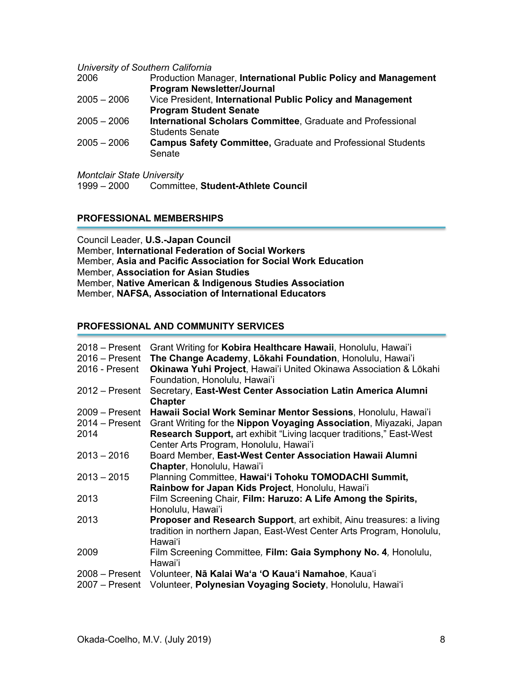#### *University of Southern California*

| 2006          | Production Manager, International Public Policy and Management     |
|---------------|--------------------------------------------------------------------|
|               | <b>Program Newsletter/Journal</b>                                  |
| $2005 - 2006$ | Vice President, International Public Policy and Management         |
|               | <b>Program Student Senate</b>                                      |
| $2005 - 2006$ | International Scholars Committee, Graduate and Professional        |
|               | <b>Students Senate</b>                                             |
| $2005 - 2006$ | <b>Campus Safety Committee, Graduate and Professional Students</b> |
|               | Senate                                                             |
|               |                                                                    |
|               |                                                                    |

*Montclair State University*

1999 – 2000 Committee, **Student-Athlete Council**

## **PROFESSIONAL MEMBERSHIPS**

Council Leader, **U.S.-Japan Council** Member, **International Federation of Social Workers** Member, **Asia and Pacific Association for Social Work Education** Member, **Association for Asian Studies** Member, **Native American & Indigenous Studies Association** Member, **NAFSA, Association of International Educators**

### **PROFESSIONAL AND COMMUNITY SERVICES**

| $2018 -$ Present<br>$2016 -$ Present<br>2016 - Present | Grant Writing for Kobira Healthcare Hawaii, Honolulu, Hawai'i<br>The Change Academy, Lōkahi Foundation, Honolulu, Hawai'i<br>Okinawa Yuhi Project, Hawai'i United Okinawa Association & Lōkahi<br>Foundation, Honolulu, Hawai'i |
|--------------------------------------------------------|---------------------------------------------------------------------------------------------------------------------------------------------------------------------------------------------------------------------------------|
| $2012 -$ Present                                       | Secretary, East-West Center Association Latin America Alumni<br><b>Chapter</b>                                                                                                                                                  |
| $2009 -$ Present                                       | Hawaii Social Work Seminar Mentor Sessions, Honolulu, Hawai'i                                                                                                                                                                   |
| $2014 -$ Present                                       | Grant Writing for the Nippon Voyaging Association, Miyazaki, Japan                                                                                                                                                              |
| 2014                                                   | <b>Research Support, art exhibit "Living lacquer traditions," East-West</b>                                                                                                                                                     |
|                                                        | Center Arts Program, Honolulu, Hawai'i                                                                                                                                                                                          |
| $2013 - 2016$                                          | Board Member, East-West Center Association Hawaii Alumni                                                                                                                                                                        |
|                                                        | Chapter, Honolulu, Hawai'i                                                                                                                                                                                                      |
| $2013 - 2015$                                          | Planning Committee, Hawai'i Tohoku TOMODACHI Summit,                                                                                                                                                                            |
|                                                        | Rainbow for Japan Kids Project, Honolulu, Hawai'i                                                                                                                                                                               |
| 2013                                                   | Film Screening Chair, Film: Haruzo: A Life Among the Spirits,                                                                                                                                                                   |
|                                                        | Honolulu, Hawai'i                                                                                                                                                                                                               |
| 2013                                                   | <b>Proposer and Research Support, art exhibit, Ainu treasures: a living</b>                                                                                                                                                     |
|                                                        | tradition in northern Japan, East-West Center Arts Program, Honolulu,                                                                                                                                                           |
|                                                        | Hawai'i                                                                                                                                                                                                                         |
| 2009                                                   | Film Screening Committee, Film: Gaia Symphony No. 4, Honolulu,                                                                                                                                                                  |
|                                                        | Hawai'i                                                                                                                                                                                                                         |
| $2008 -$ Present                                       | Volunteer, Na Kalai Wa'a 'O Kaua'i Namahoe, Kaua'i                                                                                                                                                                              |
| $2007 -$ Present                                       | Volunteer, Polynesian Voyaging Society, Honolulu, Hawai'i                                                                                                                                                                       |